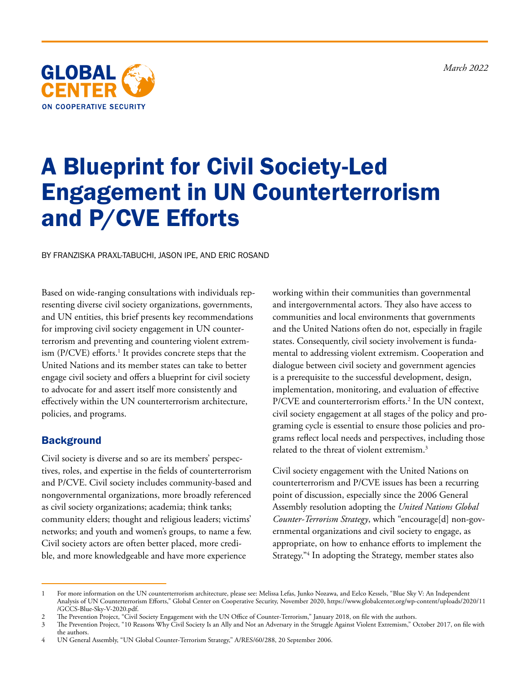*March 2022*



# A Blueprint for Civil Society-Led Engagement in UN Counterterrorism and P/CVE Efforts

BY FRANZISKA PRAXL-TABUCHI, JASON IPE, AND ERIC ROSAND

Based on wide-ranging consultations with individuals representing diverse civil society organizations, governments, and UN entities, this brief presents key recommendations for improving civil society engagement in UN counterterrorism and preventing and countering violent extremism (P/CVE) efforts.<sup>1</sup> It provides concrete steps that the United Nations and its member states can take to better engage civil society and offers a blueprint for civil society to advocate for and assert itself more consistently and effectively within the UN counterterrorism architecture, policies, and programs.

## **Background**

Civil society is diverse and so are its members' perspectives, roles, and expertise in the fields of counterterrorism and P/CVE. Civil society includes community-based and nongovernmental organizations, more broadly referenced as civil society organizations; academia; think tanks; community elders; thought and religious leaders; victims' networks; and youth and women's groups, to name a few. Civil society actors are often better placed, more credible, and more knowledgeable and have more experience

working within their communities than governmental and intergovernmental actors. They also have access to communities and local environments that governments and the United Nations often do not, especially in fragile states. Consequently, civil society involvement is fundamental to addressing violent extremism. Cooperation and dialogue between civil society and government agencies is a prerequisite to the successful development, design, implementation, monitoring, and evaluation of effective P/CVE and counterterrorism efforts.2 In the UN context, civil society engagement at all stages of the policy and programing cycle is essential to ensure those policies and programs reflect local needs and perspectives, including those related to the threat of violent extremism.3

Civil society engagement with the United Nations on counterterrorism and P/CVE issues has been a recurring point of discussion, especially since the 2006 General Assembly resolution adopting the *United Nations Global Counter-Terrorism Strategy*, which "encourage[d] non-governmental organizations and civil society to engage, as appropriate, on how to enhance efforts to implement the Strategy."4 In adopting the Strategy, member states also

<sup>1</sup> For more information on the UN counterterrorism architecture, please see: Melissa Lefas, Junko Nozawa, and Eelco Kessels, "Blue Sky V: An Independent Analysis of UN Counterterrorism Efforts," Global Center on Cooperative Security, November 2020, [https://www.globalcenter.org/wp-content/uploads/2020/11](https://www.globalcenter.org/wp-content/uploads/2020/11/GCCS-Blue-Sky-V-2020.pdf) [/GCCS-Blue-Sky-V-2020.pdf](https://www.globalcenter.org/wp-content/uploads/2020/11/GCCS-Blue-Sky-V-2020.pdf).

<sup>2</sup> The Prevention Project, "Civil Society Engagement with the UN Office of Counter-Terrorism," January 2018, on file with the authors.<br>3 The Prevention Project, "10 Reasons Why Civil Society Is an Ally and Not an Adversary

<sup>3</sup> The Prevention Project, "10 Reasons Why Civil Society Is an Ally and Not an Adversary in the Struggle Against Violent Extremism," October 2017, on file with the authors.

<sup>4</sup> UN General Assembly, "UN Global Counter-Terrorism Strategy," A/RES/60/288, 20 September 2006.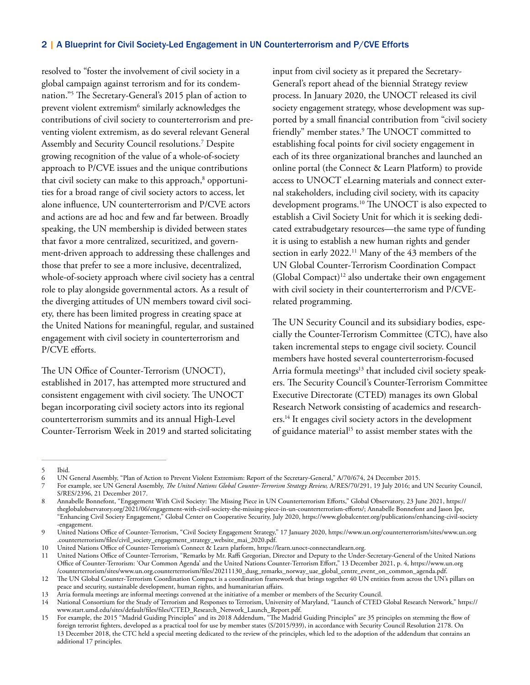resolved to "foster the involvement of civil society in a global campaign against terrorism and for its condemnation."5 The Secretary-General's 2015 plan of action to prevent violent extremism $^6$  similarly acknowledges the contributions of civil society to counterterrorism and preventing violent extremism, as do several relevant General Assembly and Security Council resolutions.7 Despite growing recognition of the value of a whole-of-society approach to P/CVE issues and the unique contributions that civil society can make to this approach, $^{\text{8}}$  opportunities for a broad range of civil society actors to access, let alone influence, UN counterterrorism and P/CVE actors and actions are ad hoc and few and far between. Broadly speaking, the UN membership is divided between states that favor a more centralized, securitized, and government-driven approach to addressing these challenges and those that prefer to see a more inclusive, decentralized, whole-of-society approach where civil society has a central role to play alongside governmental actors. As a result of the diverging attitudes of UN members toward civil society, there has been limited progress in creating space at the United Nations for meaningful, regular, and sustained engagement with civil society in counterterrorism and P/CVE efforts.

The UN Office of Counter-Terrorism (UNOCT), established in 2017, has attempted more structured and consistent engagement with civil society. The UNOCT began incorporating civil society actors into its regional counterterrorism summits and its annual High-Level Counter-Terrorism Week in 2019 and started solicitating input from civil society as it prepared the Secretary-General's report ahead of the biennial Strategy review process. In January 2020, the UNOCT released its civil society engagement strategy, whose development was supported by a small financial contribution from "civil society friendly" member states.9 The UNOCT committed to establishing focal points for civil society engagement in each of its three organizational branches and launched an online portal (the Connect & Learn Platform) to provide access to UNOCT eLearning materials and connect external stakeholders, including civil society, with its capacity development programs.<sup>10</sup> The UNOCT is also expected to establish a Civil Society Unit for which it is seeking dedicated extrabudgetary resources—the same type of funding it is using to establish a new human rights and gender section in early 2022.<sup>11</sup> Many of the 43 members of the UN Global Counter-Terrorism Coordination Compact  $(Global \, Compact)^{12}$  also undertake their own engagement with civil society in their counterterrorism and P/CVErelated programming.

The UN Security Council and its subsidiary bodies, especially the Counter-Terrorism Committee (CTC), have also taken incremental steps to engage civil society. Council members have hosted several counterterrorism-focused Arria formula meetings<sup>13</sup> that included civil society speakers. The Security Council's Counter-Terrorism Committee Executive Directorate (CTED) manages its own Global Research Network consisting of academics and researchers.14 It engages civil society actors in the development of guidance material<sup>15</sup> to assist member states with the

<sup>5</sup> Ibid.

<sup>6</sup> UN General Assembly, "Plan of Action to Prevent Violent Extremism: Report of the Secretary-General," A/70/674, 24 December 2015.

<sup>7</sup> For example, see UN General Assembly, *The United Nations Global Counter-Terrorism Strategy Review,* A/RES/70/291, 19 July 2016; and UN Security Council, S/RES/2396, 21 December 2017.

<sup>8</sup> Annabelle Bonnefont, "Engagement With Civil Society: The Missing Piece in UN Counterterrorism Efforts," Global Observatory, 23 June 2021, [https://](https://theglobalobservatory.org/2021/06/engagement-with-civil-society-the-missing-piece-in-un-counterterrorism-efforts/) [theglobalobservatory.org/2021/06/engagement-with-civil-society-the-missing-piece-in-un-counterterrorism-efforts/;](https://theglobalobservatory.org/2021/06/engagement-with-civil-society-the-missing-piece-in-un-counterterrorism-efforts/) Annabelle Bonnefont and Jason Ipe, "Enhancing Civil Society Engagement," Global Center on Cooperative Security, July 2020, [https://www.globalcenter.org/publications/enhancing-civil-society](https://www.globalcenter.org/publications/enhancing-civil-society-engagement/) [-engagement.](https://www.globalcenter.org/publications/enhancing-civil-society-engagement/)

<sup>9</sup> United Nations Office of Counter-Terrorism, "Civil Society Engagement Strategy," 17 January 2020, [https://www.un.org/counterterrorism/sites/www.un.org](https://www.un.org/counterterrorism/sites/www.un.org.counterterrorism/files/civil_society_engagement_strategy_website_mai_2020.pdf) [.counterterrorism/files/civil\\_society\\_engagement\\_strategy\\_website\\_mai\\_2020.pdf](https://www.un.org/counterterrorism/sites/www.un.org.counterterrorism/files/civil_society_engagement_strategy_website_mai_2020.pdf).

<sup>10</sup> United Nations Office of Counter-Terrorism's Connect & Learn platform, [https://learn.unoct-connectandlearn.org.](https://learn.unoct-connectandlearn.org)

<sup>11</sup> United Nations Office of Counter-Terrorism, "Remarks by Mr. Raffi Gregorian, Director and Deputy to the Under-Secretary-General of the United Nations Office of Counter-Terrorism: 'Our Common Agenda' and the United Nations Counter-Terrorism Effort," 13 December 2021, p. 4, [https://www.un.org](https://www.un.org/counterterrorism/sites/www.un.org.counterterrorism/files/20211130_dusg_remarks_norway_uae_global_centre_event_on_common_agenda.pdf) [/counterterrorism/sites/www.un.org.counterterrorism/files/20211130\\_dusg\\_remarks\\_norway\\_uae\\_global\\_centre\\_event\\_on\\_common\\_agenda.pdf](https://www.un.org/counterterrorism/sites/www.un.org.counterterrorism/files/20211130_dusg_remarks_norway_uae_global_centre_event_on_common_agenda.pdf).

<sup>12</sup> The UN Global Counter-Terrorism Coordination Compact is a coordination framework that brings together 40 UN entities from across the UN's pillars on peace and security, sustainable development, human rights, and humanitarian affairs.

<sup>13</sup> Arria formula meetings are informal meetings convened at the initiative of a member or members of the Security Council.

<sup>14</sup> National Consortium for the Study of Terrorism and Responses to Terrorism, University of Maryland, "Launch of CTED Global Research Network," [https://](https://www.start.umd.edu/sites/default/files/files/CTED_Research_Network_Launch_Report.pdf) [www.start.umd.edu/sites/default/files/files/CTED\\_Research\\_Network\\_Launch\\_Report.pdf.](https://www.start.umd.edu/sites/default/files/files/CTED_Research_Network_Launch_Report.pdf)

<sup>15</sup> For example, the 2015 "Madrid Guiding Principles" and its 2018 Addendum, "The Madrid Guiding Principles" are 35 principles on stemming the flow of foreign terrorist fighters, developed as a practical tool for use by member states (S/2015/939), in accordance with Security Council Resolution 2178. On 13 December 2018, the CTC held a special meeting dedicated to the review of the principles, which led to the adoption of the addendum that contains an additional 17 principles.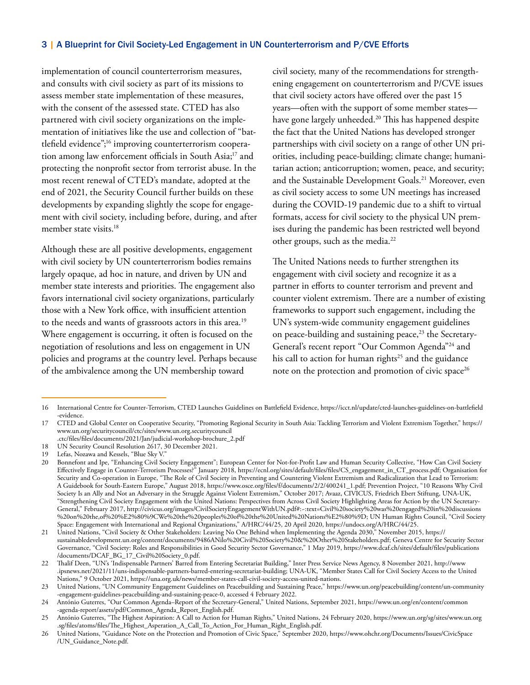implementation of council counterterrorism measures, and consults with civil society as part of its missions to assess member state implementation of these measures, with the consent of the assessed state. CTED has also partnered with civil society organizations on the implementation of initiatives like the use and collection of "battlefield evidence";16 improving counterterrorism cooperation among law enforcement officials in South Asia;<sup>17</sup> and protecting the nonprofit sector from terrorist abuse. In the most recent renewal of CTED's mandate, adopted at the end of 2021, the Security Council further builds on these developments by expanding slightly the scope for engagement with civil society, including before, during, and after member state visits.<sup>18</sup>

Although these are all positive developments, engagement with civil society by UN counterterrorism bodies remains largely opaque, ad hoc in nature, and driven by UN and member state interests and priorities. The engagement also favors international civil society organizations, particularly those with a New York office, with insufficient attention to the needs and wants of grassroots actors in this area.<sup>19</sup> Where engagement is occurring, it often is focused on the negotiation of resolutions and less on engagement in UN policies and programs at the country level. Perhaps because of the ambivalence among the UN membership toward

civil society, many of the recommendations for strengthening engagement on counterterrorism and P/CVE issues that civil society actors have offered over the past 15 years—often with the support of some member states have gone largely unheeded.<sup>20</sup> This has happened despite the fact that the United Nations has developed stronger partnerships with civil society on a range of other UN priorities, including peace-building; climate change; humanitarian action; anticorruption; women, peace, and security; and the Sustainable Development Goals.<sup>21</sup> Moreover, even as civil society access to some UN meetings has increased during the COVID-19 pandemic due to a shift to virtual formats, access for civil society to the physical UN premises during the pandemic has been restricted well beyond other groups, such as the media.<sup>22</sup>

The United Nations needs to further strengthen its engagement with civil society and recognize it as a partner in efforts to counter terrorism and prevent and counter violent extremism. There are a number of existing frameworks to support such engagement, including the UN's system-wide community engagement guidelines on peace-building and sustaining peace, $23$  the Secretary-General's recent report "Our Common Agenda"24 and his call to action for human rights<sup>25</sup> and the guidance note on the protection and promotion of civic space<sup>26</sup>

<sup>16</sup> International Centre for Counter-Terrorism, CTED Launches Guidelines on Battlefield Evidence, [https://icct.nl/update/cted-launches-guidelines-on-battlefield](https://icct.nl/update/cted-launches-guidelines-on-battlefield-evidence) [-evidence](https://icct.nl/update/cted-launches-guidelines-on-battlefield-evidence).

<sup>17</sup> CTED and Global Center on Cooperative Security, "Promoting Regional Security in South Asia: Tackling Terrorism and Violent Extremism Together," [https://](https://www.un.org/securitycouncil/ctc/sites/www.un.org.securitycouncil.ctc/files/files/documents/2021/Jan/judicial-workshop-brochure_2.pdf) [www.un.org/securitycouncil/ctc/sites/www.un.org.securitycouncil](https://www.un.org/securitycouncil/ctc/sites/www.un.org.securitycouncil.ctc/files/files/documents/2021/Jan/judicial-workshop-brochure_2.pdf)

[<sup>.</sup>ctc/files/files/documents/2021/Jan/judicial-workshop-brochure\\_2.pdf](https://www.un.org/securitycouncil/ctc/sites/www.un.org.securitycouncil.ctc/files/files/documents/2021/Jan/judicial-workshop-brochure_2.pdf) 18 UN Security Council Resolution 2617, 30 December 2021.

Lefas, Nozawa and Kessels, "Blue Sky V."

<sup>20</sup> Bonnefont and Ipe, "Enhancing Civil Society Engagement"; European Center for Not-for-Profit Law and Human Security Collective, "How Can Civil Society Effectively Engage in Counter-Terrorism Processes?" January 2018, [https://ecnl.org/sites/default/files/files/CS\\_engagement\\_in\\_CT\\_process.pdf;](https://ecnl.org/sites/default/files/files/CS_engagement_in_CT_process.pdf) Organisation for Security and Co-operation in Europe, "The Role of Civil Society in Preventing and Countering Violent Extremism and Radicalization that Lead to Terrorism: A Guidebook for South-Eastern Europe," August 2018, [https://www.osce.org/files/f/documents/2/2/400241\\_1.pdf;](https://www.osce.org/files/f/documents/2/2/400241_1.pdf) Prevention Project, "10 Reasons Why Civil Society Is an Ally and Not an Adversary in the Struggle Against Violent Extremism," October 2017; Avaaz, CIVICUS, Friedrich Ebert Stiftung, UNA-UK, "Strengthening Civil Society Engagement with the United Nations: Perspectives from Across Civil Society Highlighting Areas for Action by the UN Secretary-General," February 2017, http://civicus.org/images/CivilSocietyEngagementWithUN.pdf#:~:text=Civil%20society%20was%20engaged%20in%20discussions %20on%20the,of%20%E2%80%9CWe%20the%20peoples%20of%20the%20United%20Nations%E2%80%9D; UN Human Rights Council, "Civil Society Space: Engagement with International and Regional Organizations," A/HRC/44/25, 20 April 2020, [https://undocs.org/A/HRC/44/25.](https://undocs.org/A/HRC/44/25)

<sup>21</sup> United Nations, "Civil Society & Other Stakeholders: Leaving No One Behind when Implementing the Agenda 2030," November 2015, [https://](https://sustainabledevelopment.un.org/content/documents/9486ANilo%20Civil%20Society%20&%20Other%20Stakeholders.pdf) [sustainabledevelopment.un.org/content/documents/9486ANilo%20Civil%20Society%20&%20Other%20Stakeholders.pdf;](https://sustainabledevelopment.un.org/content/documents/9486ANilo%20Civil%20Society%20&%20Other%20Stakeholders.pdf) Geneva Centre for Security Sector Governance, "Civil Society: Roles and Responsibilities in Good Security Sector Governance," 1 May 2019, [https://www.dcaf.ch/sites/default/files/publications](https://www.dcaf.ch/sites/default/files/publications/documents/DCAF_BG_17_Civil%20Society_0.pdf) [/documents/DCAF\\_BG\\_17\\_Civil%20Society\\_0.pdf](https://www.dcaf.ch/sites/default/files/publications/documents/DCAF_BG_17_Civil%20Society_0.pdf).

<sup>22</sup> Thalif Deen, "UN's 'Indispensable Partners' Barred from Entering Secretariat Building," Inter Press Service News Agency, 8 November 2021, [http://www](http://www.ipsnews.net/2021/11/uns-indispensable-partners-barred-entering-secretariat-building/) [.ipsnews.net/2021/11/uns-indispensable-partners-barred-entering-secretariat-building](http://www.ipsnews.net/2021/11/uns-indispensable-partners-barred-entering-secretariat-building/); UNA-UK, "Member States Call for Civil Society Access to the United Nations," 9 October 2021, <https://una.org.uk/news/member-states-call-civil-society-access-united-nations>.

<sup>23</sup> United Nations, "UN Community Engagement Guidelines on Peacebuilding and Sustaining Peace," [https://www.un.org/peacebuilding/content/un-community](https://www.un.org/peacebuilding/content/un-community-engagement-guidelines-peacebuilding-and-sustaining-peace-0) [-engagement-guidelines-peacebuilding-and-sustaining-peace-0](https://www.un.org/peacebuilding/content/un-community-engagement-guidelines-peacebuilding-and-sustaining-peace-0), accessed 4 February 2022.

<sup>24</sup> António Guterres, "Our Common Agenda–Report of the Secretary-General," United Nations, September 2021, [https://www.un.org/en/content/common](https://www.un.org/en/content/common-agenda-report/assets/pdf/Common_Agenda_Report_English.pdf) [-agenda-report/assets/pdf/Common\\_Agenda\\_Report\\_English.pdf.](https://www.un.org/en/content/common-agenda-report/assets/pdf/Common_Agenda_Report_English.pdf)

<sup>25</sup> António Guterres, "The Highest Aspiration: A Call to Action for Human Rights," United Nations, 24 February 2020, [https://www.un.org/sg/sites/www.un.org](https://www.un.org/sg/sites/www.un.org.sg/files/atoms/files/The_Highest_Asperation_A_Call_To_Action_For_Human_Right_English.pdf) [.sg/files/atoms/files/The\\_Highest\\_Asperation\\_A\\_Call\\_To\\_Action\\_For\\_Human\\_Right\\_English.pdf](https://www.un.org/sg/sites/www.un.org.sg/files/atoms/files/The_Highest_Asperation_A_Call_To_Action_For_Human_Right_English.pdf).

<sup>26</sup> United Nations, "Guidance Note on the Protection and Promotion of Civic Space," September 2020, [https://www.ohchr.org/Documents/Issues/CivicSpace](https://www.ohchr.org/Documents/Issues/CivicSpace/UN_Guidance_Note.pdf) [/UN\\_Guidance\\_Note.pdf.](https://www.ohchr.org/Documents/Issues/CivicSpace/UN_Guidance_Note.pdf)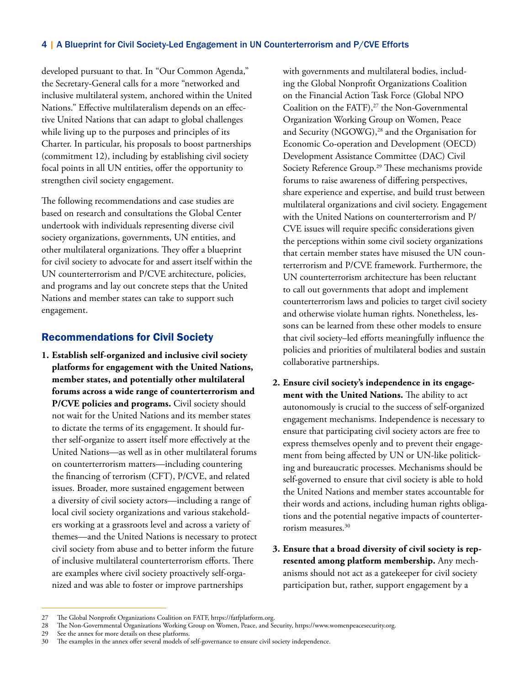developed pursuant to that. In "Our Common Agenda," the Secretary-General calls for a more "networked and inclusive multilateral system, anchored within the United Nations." Effective multilateralism depends on an effective United Nations that can adapt to global challenges while living up to the purposes and principles of its Charter. In particular, his proposals to boost partnerships (commitment 12), including by establishing civil society focal points in all UN entities, offer the opportunity to strengthen civil society engagement.

The following recommendations and case studies are based on research and consultations the Global Center undertook with individuals representing diverse civil society organizations, governments, UN entities, and other multilateral organizations. They offer a blueprint for civil society to advocate for and assert itself within the UN counterterrorism and P/CVE architecture, policies, and programs and lay out concrete steps that the United Nations and member states can take to support such engagement.

## Recommendations for Civil Society

**1. Establish self-organized and inclusive civil society platforms for engagement with the United Nations, member states, and potentially other multilateral forums across a wide range of counterterrorism and P/CVE policies and programs.** Civil society should not wait for the United Nations and its member states to dictate the terms of its engagement. It should further self-organize to assert itself more effectively at the United Nations—as well as in other multilateral forums on counterterrorism matters—including countering the financing of terrorism (CFT), P/CVE, and related issues. Broader, more sustained engagement between a diversity of civil society actors—including a range of local civil society organizations and various stakeholders working at a grassroots level and across a variety of themes—and the United Nations is necessary to protect civil society from abuse and to better inform the future of inclusive multilateral counterterrorism efforts. There are examples where civil society proactively self-organized and was able to foster or improve partnerships

with governments and multilateral bodies, including the Global Nonprofit Organizations Coalition on the Financial Action Task Force (Global NPO Coalition on the FATF), $^{27}$  the Non-Governmental Organization Working Group on Women, Peace and Security (NGOWG), 28 and the Organisation for Economic Co-operation and Development (OECD) Development Assistance Committee (DAC) Civil Society Reference Group.<sup>29</sup> These mechanisms provide forums to raise awareness of differing perspectives, share experience and expertise, and build trust between multilateral organizations and civil society. Engagement with the United Nations on counterterrorism and P/ CVE issues will require specific considerations given the perceptions within some civil society organizations that certain member states have misused the UN counterterrorism and P/CVE framework. Furthermore, the UN counterterrorism architecture has been reluctant to call out governments that adopt and implement counterterrorism laws and policies to target civil society and otherwise violate human rights. Nonetheless, lessons can be learned from these other models to ensure that civil society–led efforts meaningfully influence the policies and priorities of multilateral bodies and sustain collaborative partnerships.

- **2. Ensure civil society's independence in its engagement with the United Nations.** The ability to act autonomously is crucial to the success of self-organized engagement mechanisms. Independence is necessary to ensure that participating civil society actors are free to express themselves openly and to prevent their engagement from being affected by UN or UN-like politicking and bureaucratic processes. Mechanisms should be self-governed to ensure that civil society is able to hold the United Nations and member states accountable for their words and actions, including human rights obligations and the potential negative impacts of counterterrorism measures.30
- **3. Ensure that a broad diversity of civil society is represented among platform membership.** Any mechanisms should not act as a gatekeeper for civil society participation but, rather, support engagement by a

<sup>27</sup> The Global Nonprofit Organizations Coalition on FATF, [https://fatfplatform.org.](https://fatfplatform.org)

<sup>28</sup> The Non-Governmental Organizations Working Group on Women, Peace, and Security, <https://www.womenpeacesecurity.org.>

<sup>29</sup> See the annex for more details on these platforms.

The examples in the annex offer several models of self-governance to ensure civil society independence.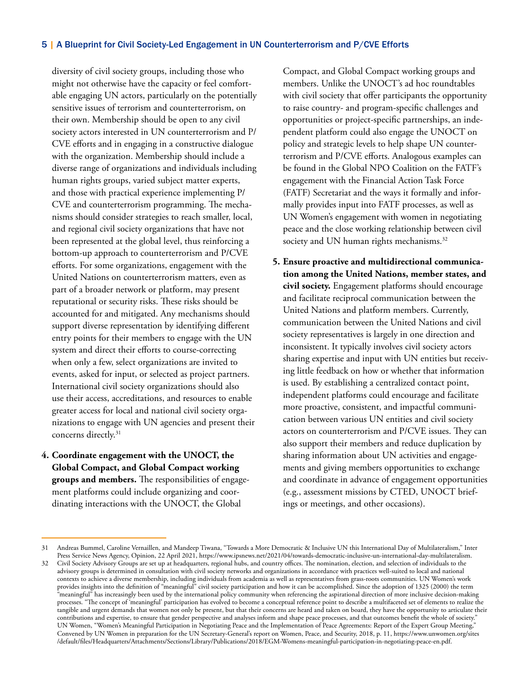diversity of civil society groups, including those who might not otherwise have the capacity or feel comfortable engaging UN actors, particularly on the potentially sensitive issues of terrorism and counterterrorism, on their own. Membership should be open to any civil society actors interested in UN counterterrorism and P/ CVE efforts and in engaging in a constructive dialogue with the organization. Membership should include a diverse range of organizations and individuals including human rights groups, varied subject matter experts, and those with practical experience implementing P/ CVE and counterterrorism programming. The mechanisms should consider strategies to reach smaller, local, and regional civil society organizations that have not been represented at the global level, thus reinforcing a bottom-up approach to counterterrorism and P/CVE efforts. For some organizations, engagement with the United Nations on counterterrorism matters, even as part of a broader network or platform, may present reputational or security risks. These risks should be accounted for and mitigated. Any mechanisms should support diverse representation by identifying different entry points for their members to engage with the UN system and direct their efforts to course-correcting when only a few, select organizations are invited to events, asked for input, or selected as project partners. International civil society organizations should also use their access, accreditations, and resources to enable greater access for local and national civil society organizations to engage with UN agencies and present their concerns directly.31

**4. Coordinate engagement with the UNOCT, the Global Compact, and Global Compact working groups and members.** The responsibilities of engagement platforms could include organizing and coordinating interactions with the UNOCT, the Global

Compact, and Global Compact working groups and members. Unlike the UNOCT's ad hoc roundtables with civil society that offer participants the opportunity to raise country- and program-specific challenges and opportunities or project-specific partnerships, an independent platform could also engage the UNOCT on policy and strategic levels to help shape UN counterterrorism and P/CVE efforts. Analogous examples can be found in the Global NPO Coalition on the FATF's engagement with the Financial Action Task Force (FATF) Secretariat and the ways it formally and informally provides input into FATF processes, as well as UN Women's engagement with women in negotiating peace and the close working relationship between civil society and UN human rights mechanisms.<sup>32</sup>

**5. Ensure proactive and multidirectional communication among the United Nations, member states, and civil society.** Engagement platforms should encourage and facilitate reciprocal communication between the United Nations and platform members. Currently, communication between the United Nations and civil society representatives is largely in one direction and inconsistent. It typically involves civil society actors sharing expertise and input with UN entities but receiving little feedback on how or whether that information is used. By establishing a centralized contact point, independent platforms could encourage and facilitate more proactive, consistent, and impactful communication between various UN entities and civil society actors on counterterrorism and P/CVE issues. They can also support their members and reduce duplication by sharing information about UN activities and engagements and giving members opportunities to exchange and coordinate in advance of engagement opportunities (e.g., assessment missions by CTED, UNOCT briefings or meetings, and other occasions).

<sup>31</sup> Andreas Bummel, Caroline Vernaillen, and Mandeep Tiwana, "Towards a More Democratic & Inclusive UN this International Day of Multilateralism," Inter Press Service News Agency, Opinion, 22 April 2021, [https://www.ipsnews.net/2021/04/towards-democratic-inclusive-un-international-day-multilateralism.](https://www.ipsnews.net/2021/04/towards-democratic-inclusive-un-international-day-multilateralism) 32 Civil Society Advisory Groups are set up at headquarters, regional hubs, and country offices. The nomination, election, and selection of individuals to the advisory groups is determined in consultation with civil society networks and organizations in accordance with practices well-suited to local and national contexts to achieve a diverse membership, including individuals from academia as well as representatives from grass-roots communities. UN Women's work provides insights into the definition of "meaningful" civil society participation and how it can be accomplished. Since the adoption of 1325 (2000) the term "meaningful" has increasingly been used by the international policy community when referencing the aspirational direction of more inclusive decision-making processes. "The concept of 'meaningful' participation has evolved to become a conceptual reference point to describe a multifaceted set of elements to realize the tangible and urgent demands that women not only be present, but that their concerns are heard and taken on board, they have the opportunity to articulate their contributions and expertise, to ensure that gender perspective and analyses inform and shape peace processes, and that outcomes benefit the whole of society." UN Women, "Women's Meaningful Participation in Negotiating Peace and the Implementation of Peace Agreements: Report of the Expert Group Meeting," Convened by UN Women in preparation for the UN Secretary-General's report on Women, Peace, and Security, 2018, p. 11, [https://www.unwomen.org/sites](https://www.unwomen.org/sites/default/files/Headquarters/Attachments/Sections/Library/Publications/2018/EGM-Womens-meaningful-participation-in-negotiating-peace-en.pdf) [/default/files/Headquarters/Attachments/Sections/Library/Publications/2018/EGM-Womens-meaningful-participation-in-negotiating-peace-en.pdf](https://www.unwomen.org/sites/default/files/Headquarters/Attachments/Sections/Library/Publications/2018/EGM-Womens-meaningful-participation-in-negotiating-peace-en.pdf).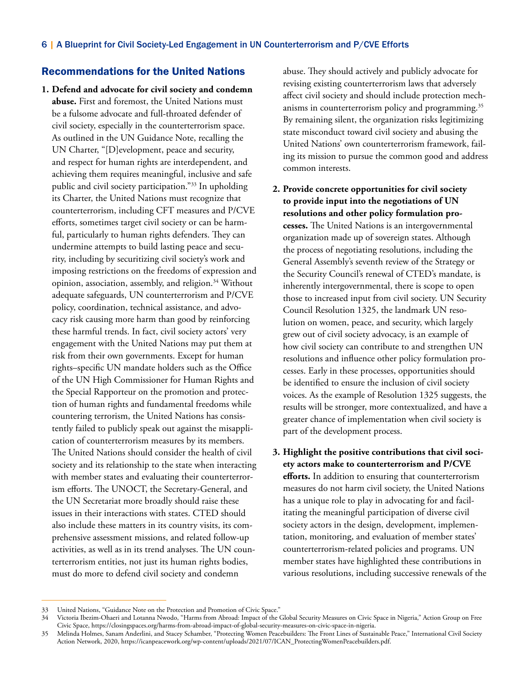## Recommendations for the United Nations

**1. Defend and advocate for civil society and condemn abuse.** First and foremost, the United Nations must be a fulsome advocate and full-throated defender of civil society, especially in the counterterrorism space. As outlined in the UN Guidance Note, recalling the UN Charter, "[D]evelopment, peace and security, and respect for human rights are interdependent, and achieving them requires meaningful, inclusive and safe public and civil society participation."33 In upholding its Charter, the United Nations must recognize that counterterrorism, including CFT measures and P/CVE efforts, sometimes target civil society or can be harmful, particularly to human rights defenders. They can undermine attempts to build lasting peace and security, including by securitizing civil society's work and imposing restrictions on the freedoms of expression and opinion, association, assembly, and religion.<sup>34</sup> Without adequate safeguards, UN counterterrorism and P/CVE policy, coordination, technical assistance, and advocacy risk causing more harm than good by reinforcing these harmful trends. In fact, civil society actors' very engagement with the United Nations may put them at risk from their own governments. Except for human rights–specific UN mandate holders such as the Office of the UN High Commissioner for Human Rights and the Special Rapporteur on the promotion and protection of human rights and fundamental freedoms while countering terrorism, the United Nations has consistently failed to publicly speak out against the misapplication of counterterrorism measures by its members. The United Nations should consider the health of civil society and its relationship to the state when interacting with member states and evaluating their counterterrorism efforts. The UNOCT, the Secretary-General, and the UN Secretariat more broadly should raise these issues in their interactions with states. CTED should also include these matters in its country visits, its comprehensive assessment missions, and related follow-up activities, as well as in its trend analyses. The UN counterterrorism entities, not just its human rights bodies, must do more to defend civil society and condemn

abuse. They should actively and publicly advocate for revising existing counterterrorism laws that adversely affect civil society and should include protection mechanisms in counterterrorism policy and programming.<sup>35</sup> By remaining silent, the organization risks legitimizing state misconduct toward civil society and abusing the United Nations' own counterterrorism framework, failing its mission to pursue the common good and address common interests.

- **2. Provide concrete opportunities for civil society to provide input into the negotiations of UN resolutions and other policy formulation processes.** The United Nations is an intergovernmental organization made up of sovereign states. Although the process of negotiating resolutions, including the General Assembly's seventh review of the Strategy or the Security Council's renewal of CTED's mandate, is inherently intergovernmental, there is scope to open those to increased input from civil society. UN Security Council Resolution 1325, the landmark UN resolution on women, peace, and security, which largely grew out of civil society advocacy, is an example of how civil society can contribute to and strengthen UN resolutions and influence other policy formulation processes. Early in these processes, opportunities should be identified to ensure the inclusion of civil society voices. As the example of Resolution 1325 suggests, the results will be stronger, more contextualized, and have a greater chance of implementation when civil society is part of the development process.
- **3. Highlight the positive contributions that civil society actors make to counterterrorism and P/CVE efforts.** In addition to ensuring that counterterrorism measures do not harm civil society, the United Nations has a unique role to play in advocating for and facilitating the meaningful participation of diverse civil society actors in the design, development, implementation, monitoring, and evaluation of member states' counterterrorism-related policies and programs. UN member states have highlighted these contributions in various resolutions, including successive renewals of the

United Nations, "Guidance Note on the Protection and Promotion of Civic Space."

<sup>34</sup> Victoria Ibezim-Ohaeri and Lotanna Nwodo, "Harms from Abroad: Impact of the Global Security Measures on Civic Space in Nigeria," Action Group on Free Civic Space, <https://closingspaces.org/harms-from-abroad-impact-of-global-security-measures-on-civic-space-in-nigeria>.

<sup>35</sup> Melinda Holmes, Sanam Anderlini, and Stacey Schamber, "Protecting Women Peacebuilders: The Front Lines of Sustainable Peace," International Civil Society Action Network, 2020, [https://icanpeacework.org/wp-content/uploads/2021/07/ICAN\\_ProtectingWomenPeacebuilders.pdf](https://icanpeacework.org/wp-content/uploads/2021/07/ICAN_ProtectingWomenPeacebuilders.pdf).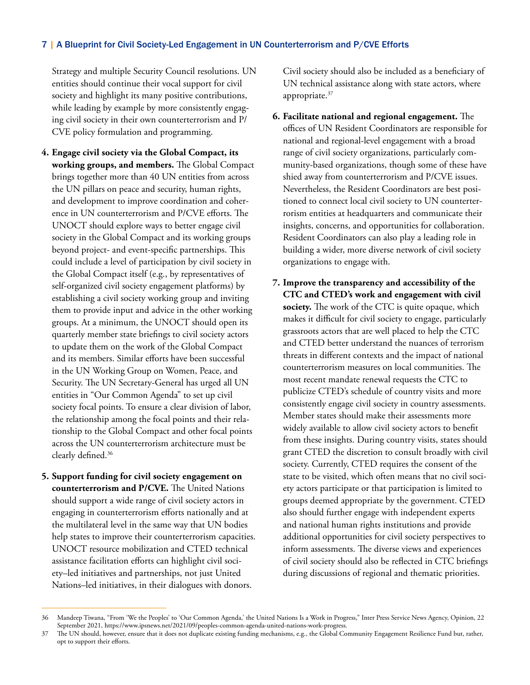Strategy and multiple Security Council resolutions. UN entities should continue their vocal support for civil society and highlight its many positive contributions, while leading by example by more consistently engaging civil society in their own counterterrorism and P/ CVE policy formulation and programming.

- **4. Engage civil society via the Global Compact, its working groups, and members.** The Global Compact brings together more than 40 UN entities from across the UN pillars on peace and security, human rights, and development to improve coordination and coherence in UN counterterrorism and P/CVE efforts. The UNOCT should explore ways to better engage civil society in the Global Compact and its working groups beyond project- and event-specific partnerships. This could include a level of participation by civil society in the Global Compact itself (e.g., by representatives of self-organized civil society engagement platforms) by establishing a civil society working group and inviting them to provide input and advice in the other working groups. At a minimum, the UNOCT should open its quarterly member state briefings to civil society actors to update them on the work of the Global Compact and its members. Similar efforts have been successful in the UN Working Group on Women, Peace, and Security. The UN Secretary-General has urged all UN entities in "Our Common Agenda" to set up civil society focal points. To ensure a clear division of labor, the relationship among the focal points and their relationship to the Global Compact and other focal points across the UN counterterrorism architecture must be clearly defined.36
- **5. Support funding for civil society engagement on counterterrorism and P/CVE.** The United Nations should support a wide range of civil society actors in engaging in counterterrorism efforts nationally and at the multilateral level in the same way that UN bodies help states to improve their counterterrorism capacities. UNOCT resource mobilization and CTED technical assistance facilitation efforts can highlight civil society–led initiatives and partnerships, not just United Nations–led initiatives, in their dialogues with donors.

Civil society should also be included as a beneficiary of UN technical assistance along with state actors, where appropriate.<sup>37</sup>

- **6. Facilitate national and regional engagement.** The offices of UN Resident Coordinators are responsible for national and regional-level engagement with a broad range of civil society organizations, particularly community-based organizations, though some of these have shied away from counterterrorism and P/CVE issues. Nevertheless, the Resident Coordinators are best positioned to connect local civil society to UN counterterrorism entities at headquarters and communicate their insights, concerns, and opportunities for collaboration. Resident Coordinators can also play a leading role in building a wider, more diverse network of civil society organizations to engage with.
- **7. Improve the transparency and accessibility of the CTC and CTED's work and engagement with civil society.** The work of the CTC is quite opaque, which makes it difficult for civil society to engage, particularly grassroots actors that are well placed to help the CTC and CTED better understand the nuances of terrorism threats in different contexts and the impact of national counterterrorism measures on local communities. The most recent mandate renewal requests the CTC to publicize CTED's schedule of country visits and more consistently engage civil society in country assessments. Member states should make their assessments more widely available to allow civil society actors to benefit from these insights. During country visits, states should grant CTED the discretion to consult broadly with civil society. Currently, CTED requires the consent of the state to be visited, which often means that no civil society actors participate or that participation is limited to groups deemed appropriate by the government. CTED also should further engage with independent experts and national human rights institutions and provide additional opportunities for civil society perspectives to inform assessments. The diverse views and experiences of civil society should also be reflected in CTC briefings during discussions of regional and thematic priorities.

<sup>36</sup> Mandeep Tiwana, "From 'We the Peoples' to 'Our Common Agenda,' the United Nations Is a Work in Progress," Inter Press Service News Agency, Opinion, 22 September 2021, <https://www.ipsnews.net/2021/09/peoples-common-agenda-united-nations-work-progress>.

<sup>37</sup> The UN should, however, ensure that it does not duplicate existing funding mechanisms, e.g., the Global Community Engagement Resilience Fund but, rather, opt to support their efforts.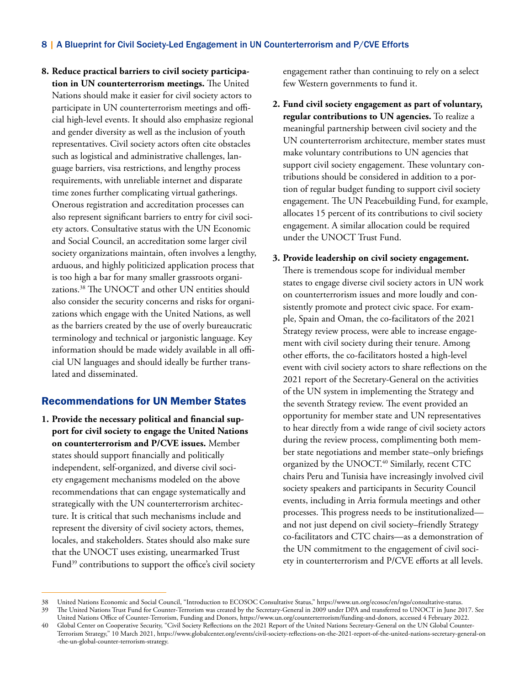**8. Reduce practical barriers to civil society participation in UN counterterrorism meetings.** The United Nations should make it easier for civil society actors to participate in UN counterterrorism meetings and official high-level events. It should also emphasize regional and gender diversity as well as the inclusion of youth representatives. Civil society actors often cite obstacles such as logistical and administrative challenges, language barriers, visa restrictions, and lengthy process requirements, with unreliable internet and disparate time zones further complicating virtual gatherings. Onerous registration and accreditation processes can also represent significant barriers to entry for civil society actors. Consultative status with the UN Economic and Social Council, an accreditation some larger civil society organizations maintain, often involves a lengthy, arduous, and highly politicized application process that is too high a bar for many smaller grassroots organizations.38 The UNOCT and other UN entities should also consider the security concerns and risks for organizations which engage with the United Nations, as well as the barriers created by the use of overly bureaucratic terminology and technical or jargonistic language. Key information should be made widely available in all official UN languages and should ideally be further translated and disseminated.

## Recommendations for UN Member States

**1. Provide the necessary political and financial support for civil society to engage the United Nations on counterterrorism and P/CVE issues.** Member states should support financially and politically independent, self-organized, and diverse civil society engagement mechanisms modeled on the above recommendations that can engage systematically and strategically with the UN counterterrorism architecture. It is critical that such mechanisms include and represent the diversity of civil society actors, themes, locales, and stakeholders. States should also make sure that the UNOCT uses existing, unearmarked Trust Fund<sup>39</sup> contributions to support the office's civil society engagement rather than continuing to rely on a select few Western governments to fund it.

- **2. Fund civil society engagement as part of voluntary, regular contributions to UN agencies.** To realize a meaningful partnership between civil society and the UN counterterrorism architecture, member states must make voluntary contributions to UN agencies that support civil society engagement. These voluntary contributions should be considered in addition to a portion of regular budget funding to support civil society engagement. The UN Peacebuilding Fund, for example, allocates 15 percent of its contributions to civil society engagement. A similar allocation could be required under the UNOCT Trust Fund.
- **3. Provide leadership on civil society engagement.**  There is tremendous scope for individual member states to engage diverse civil society actors in UN work on counterterrorism issues and more loudly and consistently promote and protect civic space. For example, Spain and Oman, the co-facilitators of the 2021 Strategy review process, were able to increase engagement with civil society during their tenure. Among other efforts, the co-facilitators hosted a high-level event with civil society actors to share reflections on the 2021 report of the Secretary-General on the activities of the UN system in implementing the Strategy and the seventh Strategy review. The event provided an opportunity for member state and UN representatives to hear directly from a wide range of civil society actors during the review process, complimenting both member state negotiations and member state–only briefings organized by the UNOCT.<sup>40</sup> Similarly, recent CTC chairs Peru and Tunisia have increasingly involved civil society speakers and participants in Security Council events, including in Arria formula meetings and other processes. This progress needs to be institutionalized and not just depend on civil society–friendly Strategy co-facilitators and CTC chairs—as a demonstration of the UN commitment to the engagement of civil society in counterterrorism and P/CVE efforts at all levels.

<sup>38</sup> United Nations Economic and Social Council, "Introduction to ECOSOC Consultative Status," [https://www.un.org/ecosoc/en/ngo/consultative-status.](https://www.un.org/ecosoc/en/ngo/consultative-status) 39 The United Nations Trust Fund for Counter-Terrorism was created by the Secretary-General in 2009 under DPA and transferred to UNOCT in June 2017. See United Nations Office of Counter-Terrorism, Funding and Donors, [https://www.un.org/counterterrorism/funding-and-donors,](https://www.un.org/counterterrorism/funding-and-donors) accessed 4 February 2022.

Global Center on Cooperative Security, "Civil Society Reflections on the 2021 Report of the United Nations Secretary-General on the UN Global Counter-Terrorism Strategy," 10 March 2021, [https://www.globalcenter.org/events/civil-society-reflections-on-the-2021-report-of-the-united-nations-secretary-general-on](https://www.globalcenter.org/events/civil-society-reflections-on-the-2021-report-of-the-united-nations-secretary-general-on-the-un-global-counter-terrorism-strategy/) [-the-un-global-counter-terrorism-strategy](https://www.globalcenter.org/events/civil-society-reflections-on-the-2021-report-of-the-united-nations-secretary-general-on-the-un-global-counter-terrorism-strategy/).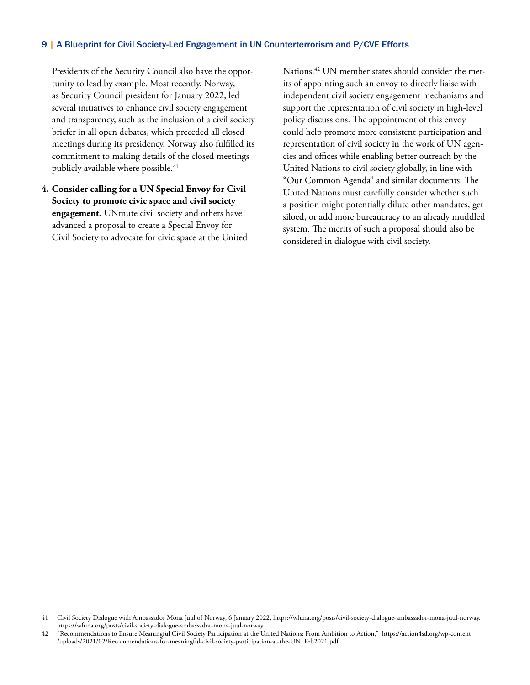Presidents of the Security Council also have the opportunity to lead by example. Most recently, Norway, as Security Council president for January 2022, led several initiatives to enhance civil society engagement and transparency, such as the inclusion of a civil society briefer in all open debates, which preceded all closed meetings during its presidency. Norway also fulfilled its commitment to making details of the closed meetings publicly available where possible. $41$ 

**4. Consider calling for a UN Special Envoy for Civil Society to promote civic space and civil society engagement.** UNmute civil society and others have advanced a proposal to create a Special Envoy for Civil Society to advocate for civic space at the United Nations.<sup>42</sup> UN member states should consider the merits of appointing such an envoy to directly liaise with independent civil society engagement mechanisms and support the representation of civil society in high-level policy discussions. The appointment of this envoy could help promote more consistent participation and representation of civil society in the work of UN agencies and offices while enabling better outreach by the United Nations to civil society globally, in line with "Our Common Agenda" and similar documents. The United Nations must carefully consider whether such a position might potentially dilute other mandates, get siloed, or add more bureaucracy to an already muddled system. The merits of such a proposal should also be considered in dialogue with civil society.

<sup>41</sup> Civil Society Dialogue with Ambassador Mona Juul of Norway, 6 January 2022, <https://wfuna.org/posts/civil-society-dialogue-ambassador-mona-juul-norway>. https://wfuna.org/posts/civil-society-dialogue-ambassador-mona-juul-norway

<sup>42</sup> "Recommendations to Ensure Meaningful Civil Society Participation at the United Nations: From Ambition to Action," [https://action4sd.org/wp-content](https://action4sd.org/wp-content/uploads/2021/02/Recommendations-for-meaningful-civil-society-participation-at-the-UN_Feb2021.pdf) [/uploads/2021/02/Recommendations-for-meaningful-civil-society-participation-at-the-UN\\_Feb2021.pdf](https://action4sd.org/wp-content/uploads/2021/02/Recommendations-for-meaningful-civil-society-participation-at-the-UN_Feb2021.pdf).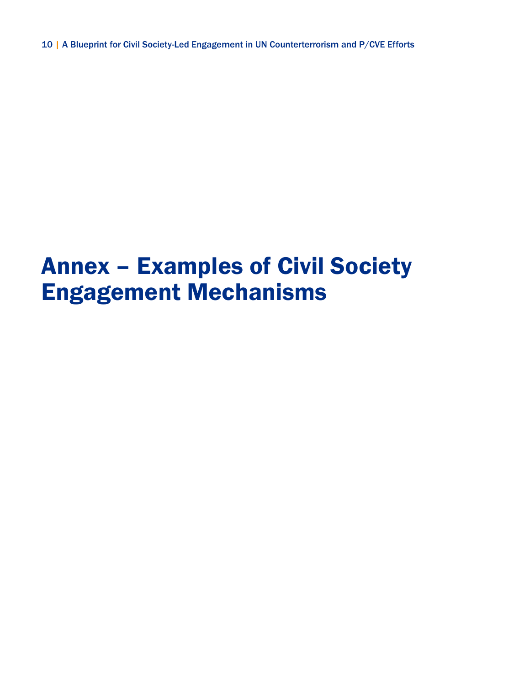# Annex – Examples of Civil Society Engagement Mechanisms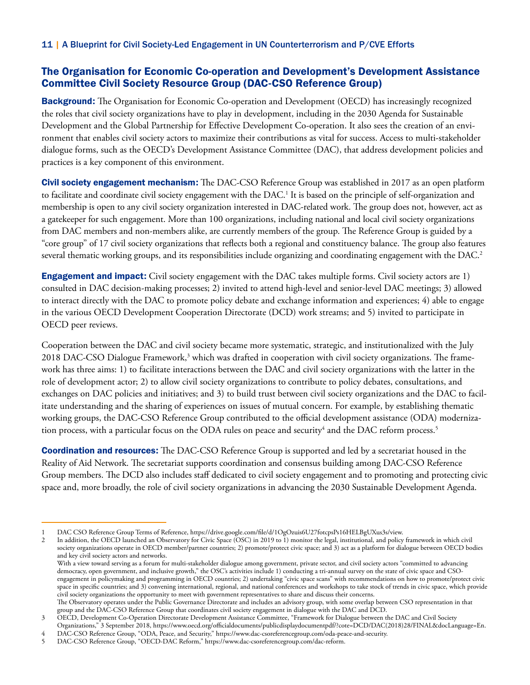## The Organisation for Economic Co-operation and Development's Development Assistance Committee Civil Society Resource Group (DAC-CSO Reference Group)

**Background:** The Organisation for Economic Co-operation and Development (OECD) has increasingly recognized the roles that civil society organizations have to play in development, including in the 2030 Agenda for Sustainable Development and the Global Partnership for Effective Development Co-operation. It also sees the creation of an environment that enables civil society actors to maximize their contributions as vital for success. Access to multi-stakeholder dialogue forms, such as the OECD's Development Assistance Committee (DAC), that address development policies and practices is a key component of this environment.

**Civil society engagement mechanism:** The DAC-CSO Reference Group was established in 2017 as an open platform to facilitate and coordinate civil society engagement with the DAC.<sup>1</sup> It is based on the principle of self-organization and membership is open to any civil society organization interested in DAC-related work. The group does not, however, act as a gatekeeper for such engagement. More than 100 organizations, including national and local civil society organizations from DAC members and non-members alike, are currently members of the group. The Reference Group is guided by a "core group" of 17 civil society organizations that reflects both a regional and constituency balance. The group also features several thematic working groups, and its responsibilities include organizing and coordinating engagement with the DAC.<sup>2</sup>

Engagement and impact: Civil society engagement with the DAC takes multiple forms. Civil society actors are 1) consulted in DAC decision-making processes; 2) invited to attend high-level and senior-level DAC meetings; 3) allowed to interact directly with the DAC to promote policy debate and exchange information and experiences; 4) able to engage in the various OECD Development Cooperation Directorate (DCD) work streams; and 5) invited to participate in OECD peer reviews.

Cooperation between the DAC and civil society became more systematic, strategic, and institutionalized with the July 2018 DAC-CSO Dialogue Framework,<sup>3</sup> which was drafted in cooperation with civil society organizations. The framework has three aims: 1) to facilitate interactions between the DAC and civil society organizations with the latter in the role of development actor; 2) to allow civil society organizations to contribute to policy debates, consultations, and exchanges on DAC policies and initiatives; and 3) to build trust between civil society organizations and the DAC to facilitate understanding and the sharing of experiences on issues of mutual concern. For example, by establishing thematic working groups, the DAC-CSO Reference Group contributed to the official development assistance (ODA) modernization process, with a particular focus on the ODA rules on peace and security $^4$  and the DAC reform process. $^5$ 

Coordination and resources: The DAC-CSO Reference Group is supported and led by a secretariat housed in the Reality of Aid Network. The secretariat supports coordination and consensus building among DAC-CSO Reference Group members. The DCD also includes staff dedicated to civil society engagement and to promoting and protecting civic space and, more broadly, the role of civil society organizations in advancing the 2030 Sustainable Development Agenda.

2 In addition, the OECD launched an Observatory for Civic Space (OSC) in 2019 to 1) monitor the legal, institutional, and policy framework in which civil society organizations operate in OECD member/partner countries; 2) promote/protect civic space; and 3) act as a platform for dialogue between OECD bodies and key civil society actors and networks.

With a view toward serving as a forum for multi-stakeholder dialogue among government, private sector, and civil society actors "committed to advancing democracy, open government, and inclusive growth," the OSC's activities include 1) conducting a tri-annual survey on the state of civic space and CSOengagement in policymaking and programming in OECD countries; 2) undertaking "civic space scans" with recommendations on how to promote/protect civic space in specific countries; and 3) convening international, regional, and national conferences and workshops to take stock of trends in civic space, which provide civil society organizations the opportunity to meet with government representatives to share and discuss their concerns. The Observatory operates under the Public Governance Directorate and includes an advisory group, with some overlap between CSO representation in that

group and the DAC-CSO Reference Group that coordinates civil society engagement in dialogue with the DAC and DCD.

3 OECD, Development Co-Operation Directorate Development Assistance Committee, "Framework for Dialogue between the DAC and Civil Society

Organizations," 3 September 2018, [https://www.oecd.org/officialdocuments/publicdisplaydocumentpdf/?cote=DCD/DAC\(2018\)28/FINAL&docLanguage=En.](https://www.oecd.org/officialdocuments/publicdisplaydocumentpdf/?cote=DCD/DAC(2018)28/FINAL&docLanguage=En)

4 DAC-CSO Reference Group, "ODA, Peace, and Security," <https://www.dac-csoreferencegroup.com/oda-peace-and-security>.

<sup>1</sup> DAC CSO Reference Group Terms of Reference, <https://drive.google.com/file/d/1OgOzuis6U27fotcpsPs16HELBgUXus3s/view>.

<sup>5</sup> DAC-CSO Reference Group, "OECD-DAC Reform," <https://www.dac-csoreferencegroup.com/dac-reform>.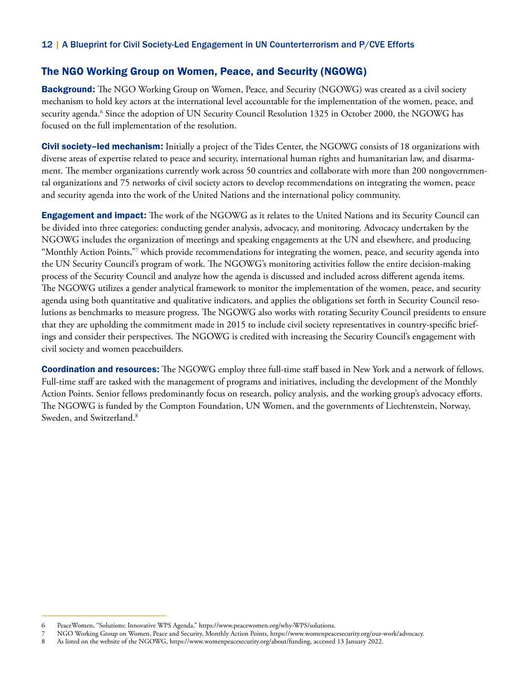## The NGO Working Group on Women, Peace, and Security (NGOWG)

**Background:** The NGO Working Group on Women, Peace, and Security (NGOWG) was created as a civil society mechanism to hold key actors at the international level accountable for the implementation of the women, peace, and security agenda.<sup>6</sup> Since the adoption of UN Security Council Resolution 1325 in October 2000, the NGOWG has focused on the full implementation of the resolution.

Civil society–led mechanism: Initially a project of the Tides Center, the NGOWG consists of 18 organizations with diverse areas of expertise related to peace and security, international human rights and humanitarian law, and disarmament. The member organizations currently work across 50 countries and collaborate with more than 200 nongovernmental organizations and 75 networks of civil society actors to develop recommendations on integrating the women, peace and security agenda into the work of the United Nations and the international policy community.

Engagement and impact: The work of the NGOWG as it relates to the United Nations and its Security Council can be divided into three categories: conducting gender analysis, advocacy, and monitoring. Advocacy undertaken by the NGOWG includes the organization of meetings and speaking engagements at the UN and elsewhere, and producing "Monthly Action Points,"7 which provide recommendations for integrating the women, peace, and security agenda into the UN Security Council's program of work. The NGOWG's monitoring activities follow the entire decision-making process of the Security Council and analyze how the agenda is discussed and included across different agenda items. The NGOWG utilizes a gender analytical framework to monitor the implementation of the women, peace, and security agenda using both quantitative and qualitative indicators, and applies the obligations set forth in Security Council resolutions as benchmarks to measure progress. The NGOWG also works with rotating Security Council presidents to ensure that they are upholding the commitment made in 2015 to include civil society representatives in country-specific briefings and consider their perspectives. The NGOWG is credited with increasing the Security Council's engagement with civil society and women peacebuilders.

Coordination and resources: The NGOWG employ three full-time staff based in New York and a network of fellows. Full-time staff are tasked with the management of programs and initiatives, including the development of the Monthly Action Points. Senior fellows predominantly focus on research, policy analysis, and the working group's advocacy efforts. The NGOWG is funded by the Compton Foundation, UN Women, and the governments of Liechtenstein, Norway, Sweden, and Switzerland.<sup>8</sup>

<sup>6</sup> PeaceWomen, "Solutions: Innovative WPS Agenda," [https://www.peacewomen.org/why-WPS/solutions.](https://www.peacewomen.org/why-WPS/solutions)

<sup>7</sup> NGO Working Group on Women, Peace and Security, Monthly Action Points,<https://www.womenpeacesecurity.org/our-work/advocacy.><br>8 As listed on the website of the NGOWG, https://www.womenpeacesecurity.org/about/funding, acce

<sup>8</sup> As listed on the website of the NGOWG, [https://www.womenpeacesecurity.org/about/funding](https://www.womenpeacesecurity.org/about/funding/), accessed 13 January 2022.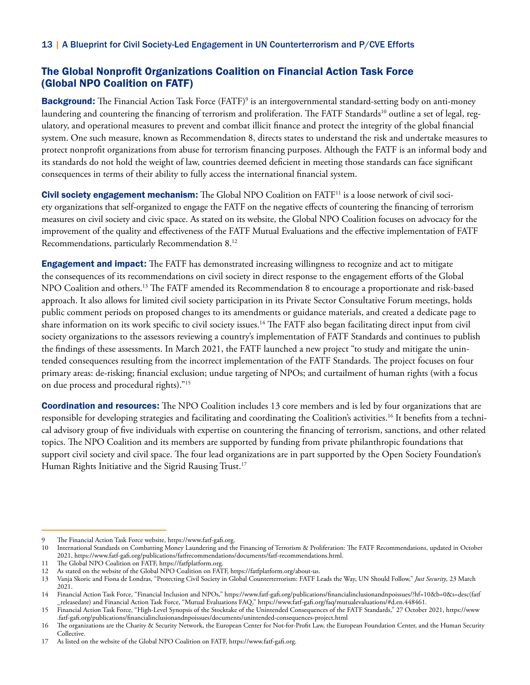# The Global Nonprofit Organizations Coalition on Financial Action Task Force (Global NPO Coalition on FATF)

Background: The Financial Action Task Force (FATF)<sup>9</sup> is an intergovernmental standard-setting body on anti-money laundering and countering the financing of terrorism and proliferation. The FATF Standards<sup>10</sup> outline a set of legal, regulatory, and operational measures to prevent and combat illicit finance and protect the integrity of the global financial system. One such measure, known as Recommendation 8, directs states to understand the risk and undertake measures to protect nonprofit organizations from abuse for terrorism financing purposes. Although the FATF is an informal body and its standards do not hold the weight of law, countries deemed deficient in meeting those standards can face significant consequences in terms of their ability to fully access the international financial system.

Civil society engagement mechanism: The Global NPO Coalition on FATF<sup>11</sup> is a loose network of civil society organizations that self-organized to engage the FATF on the negative effects of countering the financing of terrorism measures on civil society and civic space. As stated on its website, the Global NPO Coalition focuses on advocacy for the improvement of the quality and effectiveness of the FATF Mutual Evaluations and the effective implementation of FATF Recommendations, particularly Recommendation 8.12

**Engagement and impact:** The FATF has demonstrated increasing willingness to recognize and act to mitigate the consequences of its recommendations on civil society in direct response to the engagement efforts of the Global NPO Coalition and others.13 The FATF amended its Recommendation 8 to encourage a proportionate and risk-based approach. It also allows for limited civil society participation in its Private Sector Consultative Forum meetings, holds public comment periods on proposed changes to its amendments or guidance materials, and created a dedicate page to share information on its work specific to civil society issues.<sup>14</sup> The FATF also began facilitating direct input from civil society organizations to the assessors reviewing a country's implementation of FATF Standards and continues to publish the findings of these assessments. In March 2021, the FATF launched a new project "to study and mitigate the unintended consequences resulting from the incorrect implementation of the FATF Standards. The project focuses on four primary areas: de-risking; financial exclusion; undue targeting of NPOs; and curtailment of human rights (with a focus on due process and procedural rights)."15

**Coordination and resources:** The NPO Coalition includes 13 core members and is led by four organizations that are responsible for developing strategies and facilitating and coordinating the Coalition's activities.<sup>16</sup> It benefits from a technical advisory group of five individuals with expertise on countering the financing of terrorism, sanctions, and other related topics. The NPO Coalition and its members are supported by funding from private philanthropic foundations that support civil society and civil space. The four lead organizations are in part supported by the Open Society Foundation's Human Rights Initiative and the Sigrid Rausing Trust.<sup>17</sup>

<sup>9</sup> The Financial Action Task Force website, <https://www.fatf-gafi.org.>

<sup>10</sup> International Standards on Combatting Money Laundering and the Financing of Terrorism & Proliferation: The FATF Recommendations, updated in October 2021, [https://www.fatf-gafi.org/publications/fatfrecommendations/documents/fatf-recommendations.html.](https://www.fatf-gafi.org/publications/fatfrecommendations/documents/fatf-recommendations.html)

<sup>11</sup> The Global NPO Coalition on FATF, [https://fatfplatform.org](https://fatfplatform.org/).

<sup>12</sup> As stated on the website of the Global NPO Coalition on FATF,<https://fatfplatform.org/about-us.>

<sup>13</sup> Vanja Skoric and Fiona de Londras, "Protecting Civil Society in Global Counterterrorism: FATF Leads the Way, UN Should Follow," *Just Security*, 23 March 2021.

<sup>14</sup> Financial Action Task Force, "Financial Inclusion and NPOs," [https://www.fatf-gafi.org/publications/financialinclusionandnpoissues/?hf=10&b=0&s=desc\(fatf](https://www.fatf-gafi.org/publications/financialinclusionandnpoissues/?hf=10&b=0&s=desc(fatf_releasedate)) [\\_releasedate\)](https://www.fatf-gafi.org/publications/financialinclusionandnpoissues/?hf=10&b=0&s=desc(fatf_releasedate)) and Financial Action Task Force, "Mutual Evaluations FAQ," https://www.fatf-gafi.org/faq/mutualevaluations/#d.en.448461.

<sup>15</sup> Financial Action Task Force, "High-Level Synopsis of the Stocktake of the Unintended Consequences of the FATF Standards," 27 October 2021, [https://www](https://www.fatf-gafi.org/publications/financialinclusionandnpoissues/documents/unintended-consequences-project.html) [.fatf-gafi.org/publications/financialinclusionandnpoissues/documents/unintended-consequences-project.html](https://www.fatf-gafi.org/publications/financialinclusionandnpoissues/documents/unintended-consequences-project.html)

<sup>16</sup> The organizations are the Charity & Security Network, the European Center for Not-for-Profit Law, the European Foundation Center, and the Human Security Collective.

<sup>17</sup> As listed on the website of the Global NPO Coalition on FATF, <https://www.fatf-gafi.org.>